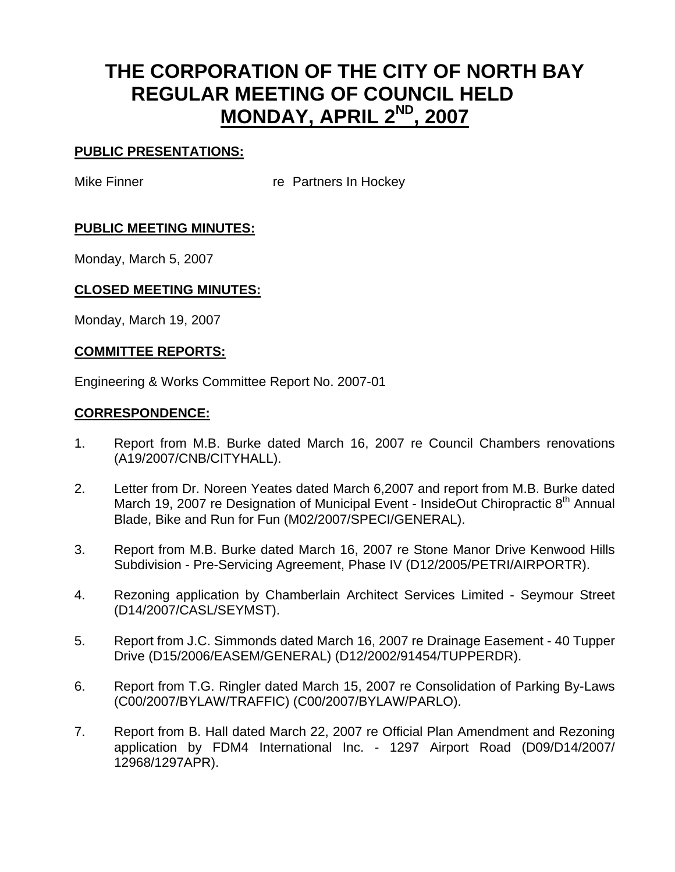# **THE CORPORATION OF THE CITY OF NORTH BAY REGULAR MEETING OF COUNCIL HELD MONDAY, APRIL 2ND, 2007**

# **PUBLIC PRESENTATIONS:**

Mike Finner **re** Partners In Hockey

# **PUBLIC MEETING MINUTES:**

Monday, March 5, 2007

# **CLOSED MEETING MINUTES:**

Monday, March 19, 2007

# **COMMITTEE REPORTS:**

Engineering & Works Committee Report No. 2007-01

#### **CORRESPONDENCE:**

- 1. Report from M.B. Burke dated March 16, 2007 re Council Chambers renovations (A19/2007/CNB/CITYHALL).
- 2. Letter from Dr. Noreen Yeates dated March 6,2007 and report from M.B. Burke dated March 19, 2007 re Designation of Municipal Event - InsideOut Chiropractic  $8<sup>th</sup>$  Annual Blade, Bike and Run for Fun (M02/2007/SPECI/GENERAL).
- 3. Report from M.B. Burke dated March 16, 2007 re Stone Manor Drive Kenwood Hills Subdivision - Pre-Servicing Agreement, Phase IV (D12/2005/PETRI/AIRPORTR).
- 4. Rezoning application by Chamberlain Architect Services Limited Seymour Street (D14/2007/CASL/SEYMST).
- 5. Report from J.C. Simmonds dated March 16, 2007 re Drainage Easement 40 Tupper Drive (D15/2006/EASEM/GENERAL) (D12/2002/91454/TUPPERDR).
- 6. Report from T.G. Ringler dated March 15, 2007 re Consolidation of Parking By-Laws (C00/2007/BYLAW/TRAFFIC) (C00/2007/BYLAW/PARLO).
- 7. Report from B. Hall dated March 22, 2007 re Official Plan Amendment and Rezoning application by FDM4 International Inc. - 1297 Airport Road (D09/D14/2007/ 12968/1297APR).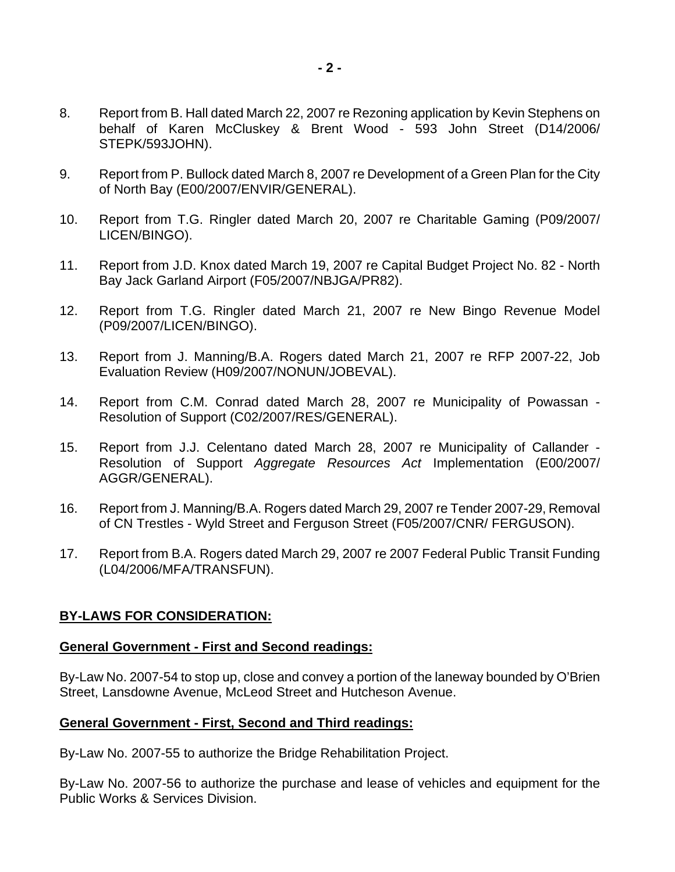- 8. Report from B. Hall dated March 22, 2007 re Rezoning application by Kevin Stephens on behalf of Karen McCluskey & Brent Wood - 593 John Street (D14/2006/ STEPK/593JOHN).
- 9. Report from P. Bullock dated March 8, 2007 re Development of a Green Plan for the City of North Bay (E00/2007/ENVIR/GENERAL).
- 10. Report from T.G. Ringler dated March 20, 2007 re Charitable Gaming (P09/2007/ LICEN/BINGO).
- 11. Report from J.D. Knox dated March 19, 2007 re Capital Budget Project No. 82 North Bay Jack Garland Airport (F05/2007/NBJGA/PR82).
- 12. Report from T.G. Ringler dated March 21, 2007 re New Bingo Revenue Model (P09/2007/LICEN/BINGO).
- 13. Report from J. Manning/B.A. Rogers dated March 21, 2007 re RFP 2007-22, Job Evaluation Review (H09/2007/NONUN/JOBEVAL).
- 14. Report from C.M. Conrad dated March 28, 2007 re Municipality of Powassan Resolution of Support (C02/2007/RES/GENERAL).
- 15. Report from J.J. Celentano dated March 28, 2007 re Municipality of Callander Resolution of Support *Aggregate Resources Act* Implementation (E00/2007/ AGGR/GENERAL).
- 16. Report from J. Manning/B.A. Rogers dated March 29, 2007 re Tender 2007-29, Removal of CN Trestles - Wyld Street and Ferguson Street (F05/2007/CNR/ FERGUSON).
- 17. Report from B.A. Rogers dated March 29, 2007 re 2007 Federal Public Transit Funding (L04/2006/MFA/TRANSFUN).

# **BY-LAWS FOR CONSIDERATION:**

#### **General Government - First and Second readings:**

By-Law No. 2007-54 to stop up, close and convey a portion of the laneway bounded by O'Brien Street, Lansdowne Avenue, McLeod Street and Hutcheson Avenue.

#### **General Government - First, Second and Third readings:**

By-Law No. 2007-55 to authorize the Bridge Rehabilitation Project.

By-Law No. 2007-56 to authorize the purchase and lease of vehicles and equipment for the Public Works & Services Division.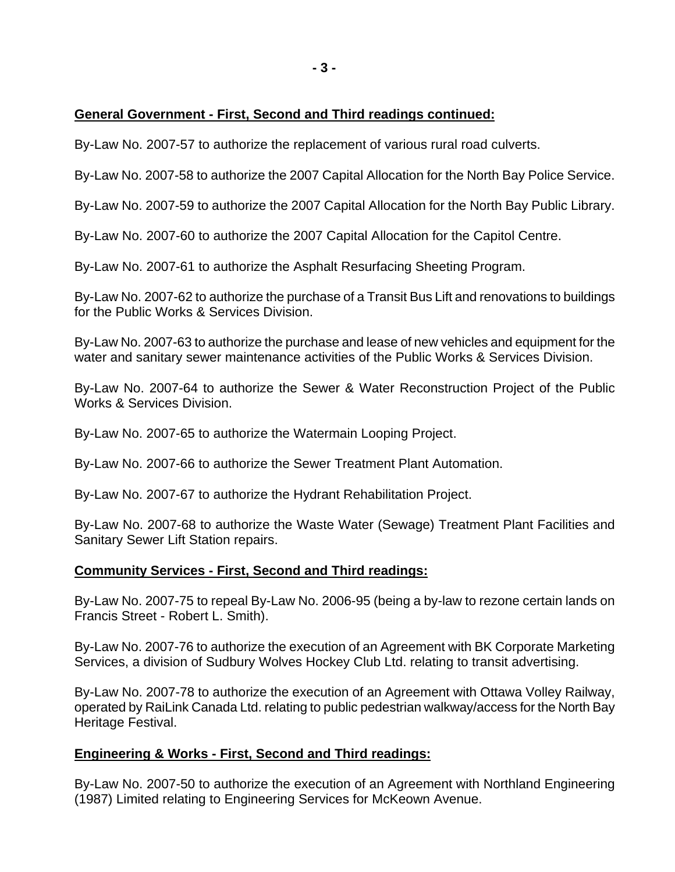# **General Government - First, Second and Third readings continued:**

By-Law No. 2007-57 to authorize the replacement of various rural road culverts.

By-Law No. 2007-58 to authorize the 2007 Capital Allocation for the North Bay Police Service.

By-Law No. 2007-59 to authorize the 2007 Capital Allocation for the North Bay Public Library.

By-Law No. 2007-60 to authorize the 2007 Capital Allocation for the Capitol Centre.

By-Law No. 2007-61 to authorize the Asphalt Resurfacing Sheeting Program.

By-Law No. 2007-62 to authorize the purchase of a Transit Bus Lift and renovations to buildings for the Public Works & Services Division.

By-Law No. 2007-63 to authorize the purchase and lease of new vehicles and equipment for the water and sanitary sewer maintenance activities of the Public Works & Services Division.

By-Law No. 2007-64 to authorize the Sewer & Water Reconstruction Project of the Public Works & Services Division.

By-Law No. 2007-65 to authorize the Watermain Looping Project.

By-Law No. 2007-66 to authorize the Sewer Treatment Plant Automation.

By-Law No. 2007-67 to authorize the Hydrant Rehabilitation Project.

By-Law No. 2007-68 to authorize the Waste Water (Sewage) Treatment Plant Facilities and Sanitary Sewer Lift Station repairs.

#### **Community Services - First, Second and Third readings:**

By-Law No. 2007-75 to repeal By-Law No. 2006-95 (being a by-law to rezone certain lands on Francis Street - Robert L. Smith).

By-Law No. 2007-76 to authorize the execution of an Agreement with BK Corporate Marketing Services, a division of Sudbury Wolves Hockey Club Ltd. relating to transit advertising.

By-Law No. 2007-78 to authorize the execution of an Agreement with Ottawa Volley Railway, operated by RaiLink Canada Ltd. relating to public pedestrian walkway/access for the North Bay Heritage Festival.

# **Engineering & Works - First, Second and Third readings:**

By-Law No. 2007-50 to authorize the execution of an Agreement with Northland Engineering (1987) Limited relating to Engineering Services for McKeown Avenue.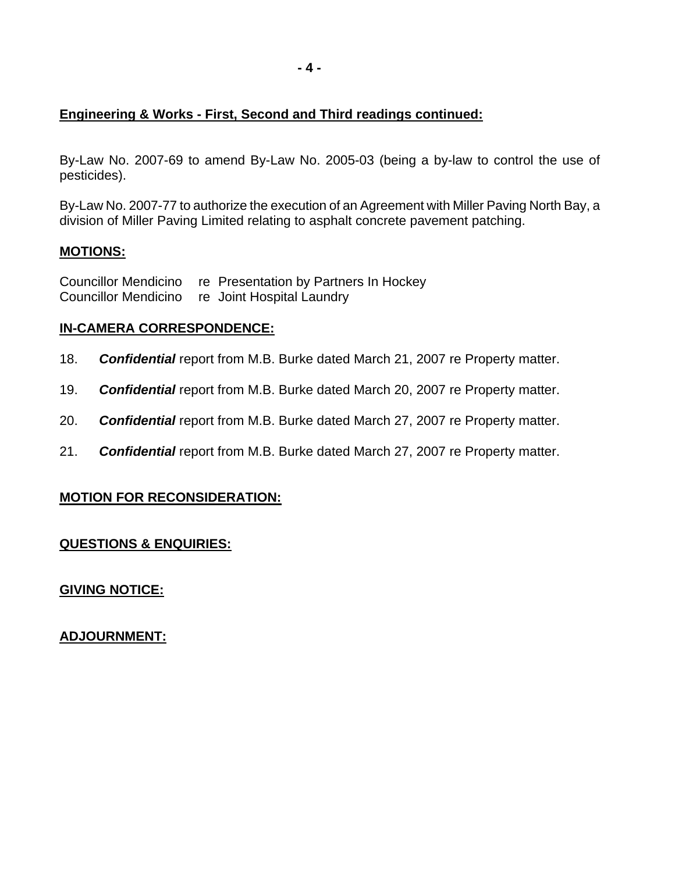# **Engineering & Works - First, Second and Third readings continued:**

By-Law No. 2007-69 to amend By-Law No. 2005-03 (being a by-law to control the use of pesticides).

By-Law No. 2007-77 to authorize the execution of an Agreement with Miller Paving North Bay, a division of Miller Paving Limited relating to asphalt concrete pavement patching.

# **MOTIONS:**

Councillor Mendicino re Presentation by Partners In Hockey Councillor Mendicino re Joint Hospital Laundry

# **IN-CAMERA CORRESPONDENCE:**

- 18. *Confidential* report from M.B. Burke dated March 21, 2007 re Property matter.
- 19. *Confidential* report from M.B. Burke dated March 20, 2007 re Property matter.
- 20. *Confidential* report from M.B. Burke dated March 27, 2007 re Property matter.
- 21. *Confidential* report from M.B. Burke dated March 27, 2007 re Property matter.

# **MOTION FOR RECONSIDERATION:**

# **QUESTIONS & ENQUIRIES:**

**GIVING NOTICE:**

**ADJOURNMENT:**